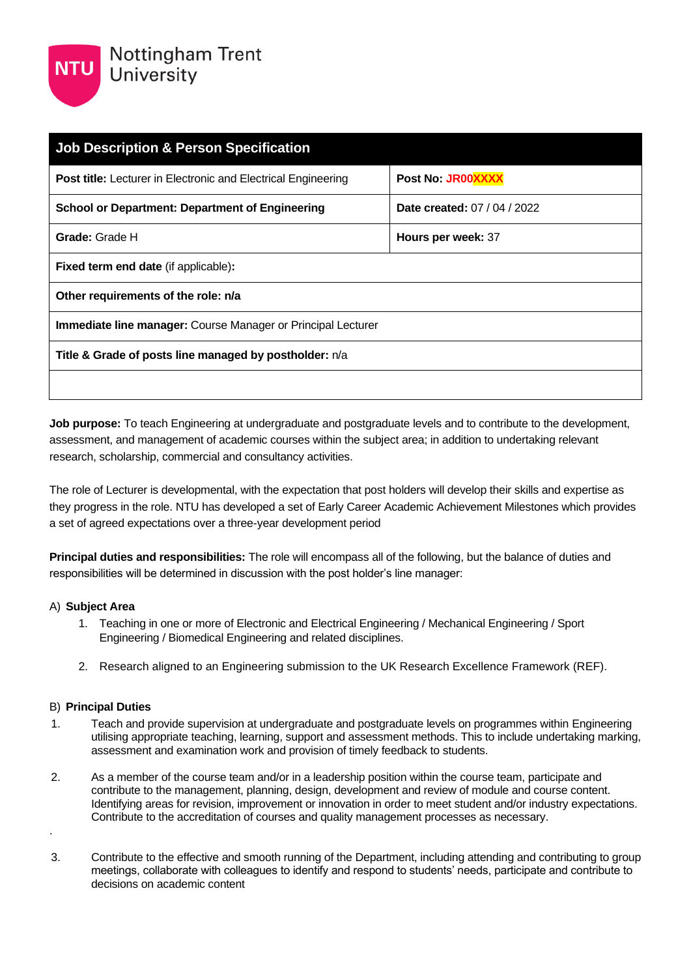

| <b>Job Description &amp; Person Specification</b>                    |                              |  |
|----------------------------------------------------------------------|------------------------------|--|
| <b>Post title:</b> Lecturer in Electronic and Electrical Engineering | Post No: JR00XXXX            |  |
| <b>School or Department: Department of Engineering</b>               | Date created: 07 / 04 / 2022 |  |
| Grade: Grade H                                                       | Hours per week: 37           |  |
| <b>Fixed term end date (if applicable):</b>                          |                              |  |
| Other requirements of the role: n/a                                  |                              |  |
| <b>Immediate line manager:</b> Course Manager or Principal Lecturer  |                              |  |
| Title & Grade of posts line managed by postholder: n/a               |                              |  |
|                                                                      |                              |  |

**Job purpose:** To teach Engineering at undergraduate and postgraduate levels and to contribute to the development, assessment, and management of academic courses within the subject area; in addition to undertaking relevant research, scholarship, commercial and consultancy activities.

The role of Lecturer is developmental, with the expectation that post holders will develop their skills and expertise as they progress in the role. NTU has developed a set of Early Career Academic Achievement Milestones which provides a set of agreed expectations over a three-year development period

**Principal duties and responsibilities:** The role will encompass all of the following, but the balance of duties and responsibilities will be determined in discussion with the post holder's line manager:

### A) **Subject Area**

- 1. Teaching in one or more of Electronic and Electrical Engineering / Mechanical Engineering / Sport Engineering / Biomedical Engineering and related disciplines.
- 2. Research aligned to an Engineering submission to the UK Research Excellence Framework (REF).

### B) **Principal Duties**

- 1. Teach and provide supervision at undergraduate and postgraduate levels on programmes within Engineering utilising appropriate teaching, learning, support and assessment methods. This to include undertaking marking, assessment and examination work and provision of timely feedback to students.
- 2. As a member of the course team and/or in a leadership position within the course team, participate and contribute to the management, planning, design, development and review of module and course content. Identifying areas for revision, improvement or innovation in order to meet student and/or industry expectations. Contribute to the accreditation of courses and quality management processes as necessary. .
- 3. Contribute to the effective and smooth running of the Department, including attending and contributing to group meetings, collaborate with colleagues to identify and respond to students' needs, participate and contribute to decisions on academic content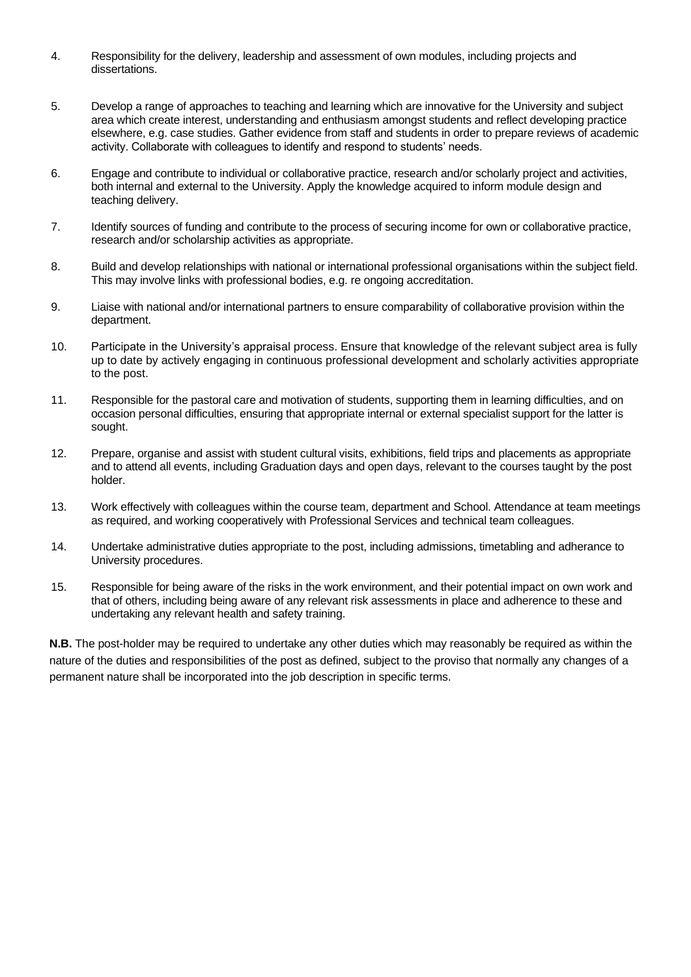- 4. Responsibility for the delivery, leadership and assessment of own modules, including projects and dissertations.
- 5. Develop a range of approaches to teaching and learning which are innovative for the University and subject area which create interest, understanding and enthusiasm amongst students and reflect developing practice elsewhere, e.g. case studies. Gather evidence from staff and students in order to prepare reviews of academic activity. Collaborate with colleagues to identify and respond to students' needs.
- 6. Engage and contribute to individual or collaborative practice, research and/or scholarly project and activities, both internal and external to the University. Apply the knowledge acquired to inform module design and teaching delivery.
- 7. Identify sources of funding and contribute to the process of securing income for own or collaborative practice, research and/or scholarship activities as appropriate.
- 8. Build and develop relationships with national or international professional organisations within the subject field. This may involve links with professional bodies, e.g. re ongoing accreditation.
- 9. Liaise with national and/or international partners to ensure comparability of collaborative provision within the department.
- 10. Participate in the University's appraisal process. Ensure that knowledge of the relevant subject area is fully up to date by actively engaging in continuous professional development and scholarly activities appropriate to the post.
- 11. Responsible for the pastoral care and motivation of students, supporting them in learning difficulties, and on occasion personal difficulties, ensuring that appropriate internal or external specialist support for the latter is sought.
- 12. Prepare, organise and assist with student cultural visits, exhibitions, field trips and placements as appropriate and to attend all events, including Graduation days and open days, relevant to the courses taught by the post holder.
- 13. Work effectively with colleagues within the course team, department and School. Attendance at team meetings as required, and working cooperatively with Professional Services and technical team colleagues.
- 14. Undertake administrative duties appropriate to the post, including admissions, timetabling and adherance to University procedures.
- 15. Responsible for being aware of the risks in the work environment, and their potential impact on own work and that of others, including being aware of any relevant risk assessments in place and adherence to these and undertaking any relevant health and safety training.

**N.B.** The post-holder may be required to undertake any other duties which may reasonably be required as within the nature of the duties and responsibilities of the post as defined, subject to the proviso that normally any changes of a permanent nature shall be incorporated into the job description in specific terms.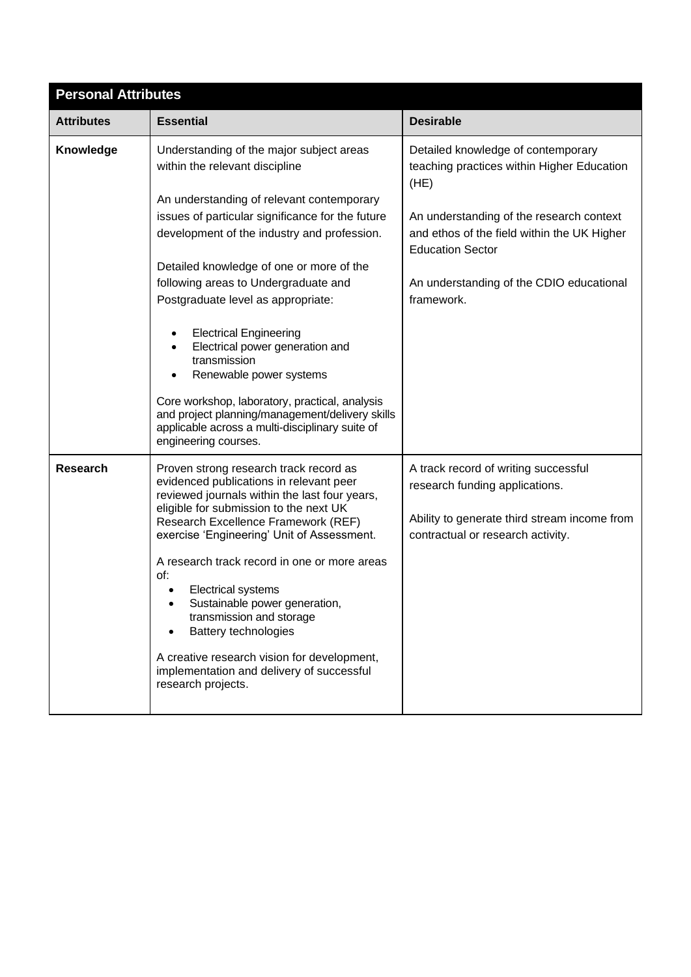| <b>Personal Attributes</b> |                                                                                                                                                                                                                                                                   |                                                                                                                                                             |  |
|----------------------------|-------------------------------------------------------------------------------------------------------------------------------------------------------------------------------------------------------------------------------------------------------------------|-------------------------------------------------------------------------------------------------------------------------------------------------------------|--|
| <b>Attributes</b>          | <b>Essential</b>                                                                                                                                                                                                                                                  | <b>Desirable</b>                                                                                                                                            |  |
| Knowledge                  | Understanding of the major subject areas<br>within the relevant discipline<br>An understanding of relevant contemporary                                                                                                                                           | Detailed knowledge of contemporary<br>teaching practices within Higher Education<br>(HE)                                                                    |  |
|                            | issues of particular significance for the future<br>development of the industry and profession.                                                                                                                                                                   | An understanding of the research context<br>and ethos of the field within the UK Higher<br><b>Education Sector</b>                                          |  |
|                            | Detailed knowledge of one or more of the<br>following areas to Undergraduate and<br>Postgraduate level as appropriate:                                                                                                                                            | An understanding of the CDIO educational<br>framework.                                                                                                      |  |
|                            | <b>Electrical Engineering</b><br>Electrical power generation and<br>transmission<br>Renewable power systems                                                                                                                                                       |                                                                                                                                                             |  |
|                            | Core workshop, laboratory, practical, analysis<br>and project planning/management/delivery skills<br>applicable across a multi-disciplinary suite of<br>engineering courses.                                                                                      |                                                                                                                                                             |  |
| <b>Research</b>            | Proven strong research track record as<br>evidenced publications in relevant peer<br>reviewed journals within the last four years,<br>eligible for submission to the next UK<br>Research Excellence Framework (REF)<br>exercise 'Engineering' Unit of Assessment. | A track record of writing successful<br>research funding applications.<br>Ability to generate third stream income from<br>contractual or research activity. |  |
|                            | A research track record in one or more areas<br>of:<br><b>Electrical systems</b><br>Sustainable power generation,<br>transmission and storage<br><b>Battery technologies</b>                                                                                      |                                                                                                                                                             |  |
|                            | A creative research vision for development,<br>implementation and delivery of successful<br>research projects.                                                                                                                                                    |                                                                                                                                                             |  |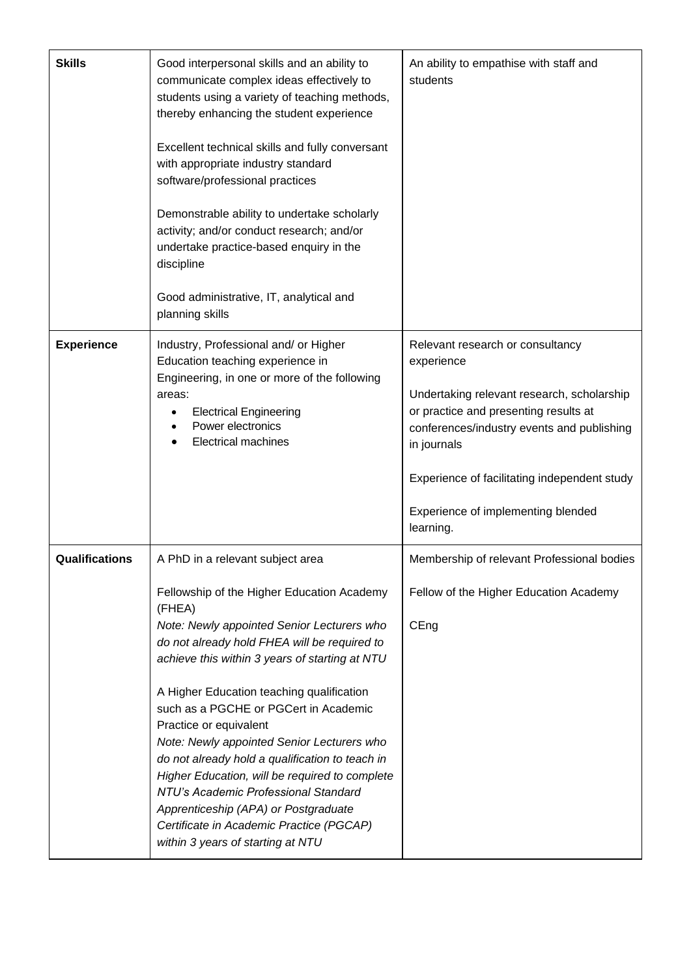| <b>Skills</b>     | Good interpersonal skills and an ability to<br>communicate complex ideas effectively to<br>students using a variety of teaching methods,<br>thereby enhancing the student experience<br>Excellent technical skills and fully conversant<br>with appropriate industry standard<br>software/professional practices<br>Demonstrable ability to undertake scholarly<br>activity; and/or conduct research; and/or<br>undertake practice-based enquiry in the<br>discipline<br>Good administrative, IT, analytical and<br>planning skills                                                                                                      | An ability to empathise with staff and<br>students                                                                                                                                                                                                                                                    |
|-------------------|------------------------------------------------------------------------------------------------------------------------------------------------------------------------------------------------------------------------------------------------------------------------------------------------------------------------------------------------------------------------------------------------------------------------------------------------------------------------------------------------------------------------------------------------------------------------------------------------------------------------------------------|-------------------------------------------------------------------------------------------------------------------------------------------------------------------------------------------------------------------------------------------------------------------------------------------------------|
| <b>Experience</b> | Industry, Professional and/ or Higher<br>Education teaching experience in<br>Engineering, in one or more of the following<br>areas:<br><b>Electrical Engineering</b><br>Power electronics<br><b>Electrical machines</b>                                                                                                                                                                                                                                                                                                                                                                                                                  | Relevant research or consultancy<br>experience<br>Undertaking relevant research, scholarship<br>or practice and presenting results at<br>conferences/industry events and publishing<br>in journals<br>Experience of facilitating independent study<br>Experience of implementing blended<br>learning. |
| Qualifications    | A PhD in a relevant subject area                                                                                                                                                                                                                                                                                                                                                                                                                                                                                                                                                                                                         | Membership of relevant Professional bodies                                                                                                                                                                                                                                                            |
|                   | Fellowship of the Higher Education Academy<br>(FHEA)<br>Note: Newly appointed Senior Lecturers who<br>do not already hold FHEA will be required to<br>achieve this within 3 years of starting at NTU<br>A Higher Education teaching qualification<br>such as a PGCHE or PGCert in Academic<br>Practice or equivalent<br>Note: Newly appointed Senior Lecturers who<br>do not already hold a qualification to teach in<br>Higher Education, will be required to complete<br>NTU's Academic Professional Standard<br>Apprenticeship (APA) or Postgraduate<br>Certificate in Academic Practice (PGCAP)<br>within 3 years of starting at NTU | Fellow of the Higher Education Academy<br>CEng                                                                                                                                                                                                                                                        |